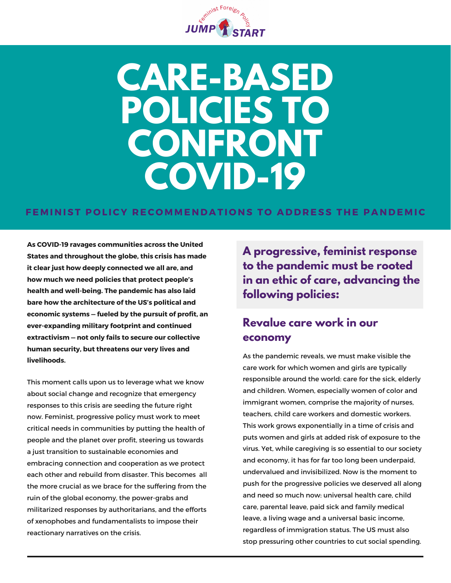

# **CARE-BASED POLICIES TO CONFRONT COVID-19**

#### FEMINIST POLICY RECOMMENDATIONS TO ADDRESS THE PANDEMIC

**As COVID-19 ravages communities across the United States and throughout the globe, this crisis has made it clear just how deeply connected we all are, and how much we need policies that protect people's health and well-being. The pandemic has also laid bare how the architecture of the US's political and economic systems — fueled by the pursuit of profit, an ever-expanding military footprint and continued extractivism — not only fails to secure our collective human security, but threatens our very lives and livelihoods.**

This moment calls upon us to leverage what we know about social change and recognize that emergency responses to this crisis are seeding the future right now. Feminist, progressive policy must work to meet critical needs in communities by putting the health of people and the planet over profit, steering us towards a just transition to sustainable economies and embracing connection and cooperation as we protect each other and rebuild from disaster. This becomes all the more crucial as we brace for the suffering from the ruin of the global economy, the power-grabs and militarized responses by authoritarians, and the efforts of xenophobes and fundamentalists to impose their reactionary narratives on the crisis.

**A progressive, feminist response to the pandemic must be rooted in an ethic of care, advancing the following policies:**

# **Revalue care work in our economy**

As the pandemic reveals, we must make visible the care work for which women and girls are typically responsible around the world: care for the sick, elderly and children. Women, especially women of color and immigrant women, comprise the majority of nurses, teachers, child care workers and domestic workers. This work grows exponentially in a time of crisis and puts women and girls at added risk of exposure to the virus. Yet, while caregiving is so essential to our society and economy, it has for far too long been underpaid, undervalued and invisibilized. Now is the moment to push for the progressive policies we deserved all along and need so much now: universal health care, child care, parental leave, paid sick and family medical leave, a living wage and a universal basic income, regardless of immigration status. The US must also stop pressuring other countries to cut social spending.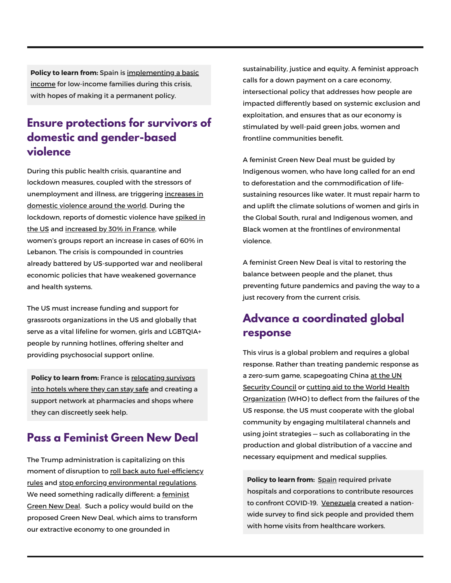**Policy to learn from:** Spain is [implementing](https://www.businessinsider.com/spain-universal-basic-income-coronavirus-yang-ubi-permanent-first-europe-2020-4) a basic income for low-income families during this crisis, with hopes of making it a permanent policy.

#### **Ensure protections for survivors of domestic and gender-based violence**

During this public health crisis, quarantine and lockdown measures, coupled with the stressors of [unemployment](https://www.commondreams.org/views/2020/04/10/virus-unleashes-violence-women-war-torn-countries-organize) and illness, are triggering increases in domestic violence around the world. During the [lockdown,](https://time.com/5803887/coronavirus-domestic-violence-victims/) reports of domestic violence have spiked in the US and [increased](https://www.euronews.com/2020/03/28/domestic-violence-cases-jump-30-during-lockdown-in-france) by 30% in France, while women's groups report an increase in cases of 60% in Lebanon. The crisis is compounded in countries already battered by US-supported war and neoliberal economic policies that have weakened governance and health systems.

The US must increase funding and support for grassroots organizations in the US and globally that serve as a vital lifeline for women, girls and LGBTQIA+ people by running hotlines, offering shelter and providing psychosocial support online.

**Policy to learn from:** France is [relocating](https://www.vice.com/en_us/article/y3mj4g/france-is-putting-domestic-abuse-victims-in-hotels-during-coronavirus-lockdown?utm_campaign=sharebutton&fbclid=IwAR3P-b9hCvlyFmyhrBlLRqmegnAYIuY64YZfDt2hfxp_SZFmMgEUP7TCx2I) survivors into hotels where they can stay safe and creating a support network at pharmacies and shops where they can discreetly seek help.

#### **Pass a Feminist Green New Deal**

The Trump administration is capitalizing on this moment of disruption to roll back auto fuel-efficiency rules and stop enforcing [environmental](https://www.theguardian.com/environment/2020/mar/31/trump-epa-obama-clean-car-rules-climate-change) regulations. We need [something](http://feministgreennewdeal.com/) radically different: a feminist Green New Deal. Such a policy would build on the proposed Green New Deal, which aims to transform our extractive economy to one grounded in

sustainability, justice and equity. A feminist approach calls for a down payment on a care economy, intersectional policy that addresses how people are impacted differently based on systemic exclusion and exploitation, and ensures that as our economy is stimulated by well-paid green jobs, women and frontline communities benefit.

A feminist Green New Deal must be guided by Indigenous women, who have long called for an end to deforestation and the commodification of lifesustaining resources like water. It must repair harm to and uplift the climate solutions of women and girls in the Global South, rural and Indigenous women, and Black women at the frontlines of environmental violence.

A feminist Green New Deal is vital to restoring the balance between people and the planet, thus preventing future pandemics and paving the way to a just recovery from the current crisis.

#### **Advance a coordinated global response**

This virus is a global problem and requires a global response. Rather than treating pandemic response as a zero-sum game, [scapegoating](https://www.nbcnews.com/politics/national-security/u-s-insisting-u-n-call-out-chinese-origins-coronavirus-n1169111) China at the UN Security Council or cutting aid to the World Health [Organization](https://www.washingtonpost.com/politics/trump-announces-cutoff-of-new-funding-for-the-world-health-organization-over-pandemic-response/2020/04/14/f1df101e-7e9f-11ea-a3ee-13e1ae0a3571_story.html) (WHO) to deflect from the failures of the US response, the US must cooperate with the global community by engaging multilateral channels and using joint strategies — such as collaborating in the production and global distribution of a vaccine and necessary equipment and medical supplies.

**Policy to learn from:** [Spain](https://www.thenation.com/article/society/coronavirus-spain-us/) required private hospitals and corporations to contribute resources to confront COVID-19. [Venezuela](https://www.commondreams.org/views/2020/03/25/venezuelas-coronavirus-response-might-surprise-you) created a nationwide survey to find sick people and provided them with home visits from healthcare workers.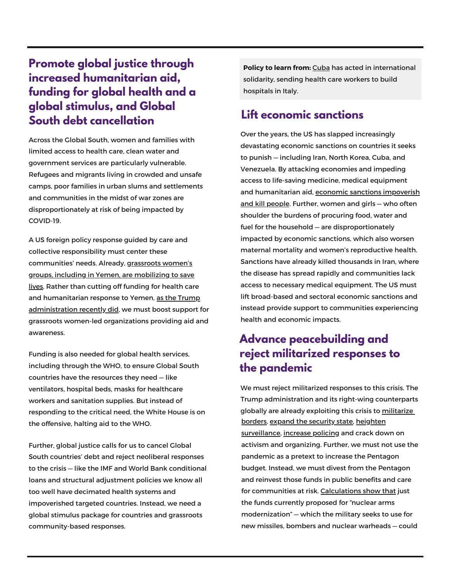# **Promote global justice through increased humanitarian aid, funding for global health and a global stimulus, and Global South debt cancellation**

Across the Global South, women and families with limited access to health care, clean water and government services are particularly vulnerable. Refugees and migrants living in crowded and unsafe camps, poor families in urban slums and settlements and communities in the midst of war zones are disproportionately at risk of being impacted by COVID-19.

A US foreign policy response guided by care and collective responsibility must center these [communities'](https://www.madre.org/care-and-connection-in-crisis) needs. Already, grassroots women's groups, including in Yemen, are mobilizing to save lives. Rather than cutting off funding for health care and humanitarian response to Yemen, as the Trump [administration](https://www.nytimes.com/2020/03/27/world/middleeast/yemen-health-care-aid-coronavirus.html) recently did, we must boost support for grassroots women-led organizations providing aid and awareness.

Funding is also needed for global health services, including through the WHO, to ensure Global South countries have the resources they need — like ventilators, hospital beds, masks for healthcare workers and sanitation supplies. But instead of responding to the critical need, the White House is on the offensive, halting aid to the WHO.

Further, global justice calls for us to cancel Global South countries' debt and reject neoliberal responses to the crisis — like the IMF and World Bank conditional loans and structural adjustment policies we know all too well have decimated health systems and impoverished targeted countries. Instead, we need a global stimulus package for countries and grassroots community-based responses.

**Policy to learn from:** [Cuba](https://www.cnn.com/2020/03/26/world/cuba-coronavirus-medical-help-intl/index.html) has acted in international solidarity, sending health care workers to build hospitals in Italy.

#### **Lift economic sanctions**

Over the years, the US has slapped increasingly devastating economic sanctions on countries it seeks to punish — including Iran, North Korea, Cuba, and Venezuela. By attacking economies and impeding access to life-saving medicine, medical equipment and [humanitarian](https://www.marketwatch.com/story/us-sanctions-in-a-time-of-coronavirus-are-morally-depraved-as-well-as-illegal-under-international-law-2020-04-06) aid, economic sanctions impoverish and kill people. Further, women and girls — who often shoulder the burdens of procuring food, water and fuel for the household — are disproportionately impacted by economic sanctions, which also worsen maternal mortality and women's reproductive health. Sanctions have already killed thousands in Iran, where the disease has spread rapidly and communities lack access to necessary medical equipment. The US must lift broad-based and sectoral economic sanctions and instead provide support to communities experiencing health and economic impacts.

## **Advance peacebuilding and reject militarized responses to the pandemic**

We must reject militarized responses to this crisis. The Trump administration and its right-wing counterparts globally are already exploiting this crisis to [militarize](https://www.thenation.com/article/politics/border-coronavirus-military-immigration/) [borders](https://www.thenation.com/article/politics/border-coronavirus-military-immigration/), expand the [security](https://inthesetimes.com/article/22401/military-trump-coronavirus-covid-emergency-response-national-guard-yemen) state, heighten [surveillance,](https://www.aljazeera.com/news/2020/03/slope-israel-draws-flak-coronavirus-surveillance-200317153457942.html) [increase](https://www.reuters.com/article/us-healthcare-coronavirus-workers-rights/poor-workers-trying-to-feed-families-jailed-abused-in-coronavirus-lockdowns-idUSKBN21P1XN) policing and crack down on activism and organizing. Further, we must not use the pandemic as a pretext to increase the Pentagon budget. Instead, we must divest from the Pentagon and reinvest those funds in public benefits and care for communities at risk. [Calculations](https://www.thenation.com/article/world/coronavirus-cold-war-race/) show that just the funds currently proposed for "nuclear arms modernization" — which the military seeks to use for new missiles, bombers and nuclear warheads — could